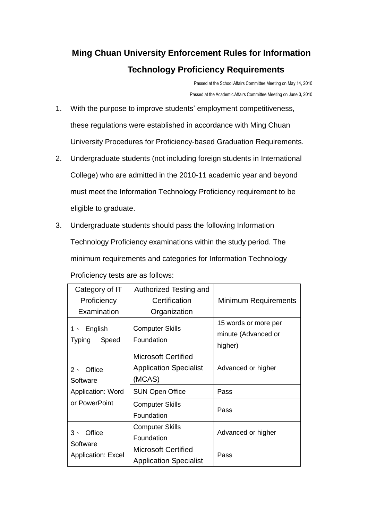## **Ming Chuan University Enforcement Rules for Information Technology Proficiency Requirements**

Passed at the School Affairs Committee Meeting on May 14, 2010 Passed at the Academic Affairs Committee Meeting on June 3, 2010

- 1. With the purpose to improve students' employment competitiveness, these regulations were established in accordance with Ming Chuan University Procedures for Proficiency-based Graduation Requirements.
- 2. Undergraduate students (not including foreign students in International College) who are admitted in the 2010-11 academic year and beyond must meet the Information Technology Proficiency requirement to be eligible to graduate.
- 3. Undergraduate students should pass the following Information Technology Proficiency examinations within the study period. The minimum requirements and categories for Information Technology Proficiency tests are as follows:

| Category of IT                                                               | Authorized Testing and                                                                                                    |                                                        |
|------------------------------------------------------------------------------|---------------------------------------------------------------------------------------------------------------------------|--------------------------------------------------------|
| Proficiency                                                                  | Certification                                                                                                             | Minimum Requirements                                   |
| Examination                                                                  | Organization                                                                                                              |                                                        |
| English<br>1 $\cdot$<br>Speed<br><b>Typing</b>                               | <b>Computer Skills</b><br>Foundation                                                                                      | 15 words or more per<br>minute (Advanced or<br>higher) |
| Office<br>$2 \cdot$<br>Software<br><b>Application: Word</b><br>or PowerPoint | <b>Microsoft Certified</b><br><b>Application Specialist</b><br>(MCAS)<br><b>SUN Open Office</b><br><b>Computer Skills</b> | Advanced or higher<br>Pass<br>Pass                     |
|                                                                              | Foundation                                                                                                                |                                                        |
| Office<br>3、<br>Software<br><b>Application: Excel</b>                        | <b>Computer Skills</b><br>Foundation                                                                                      | Advanced or higher                                     |
|                                                                              | <b>Microsoft Certified</b><br><b>Application Specialist</b>                                                               | Pass                                                   |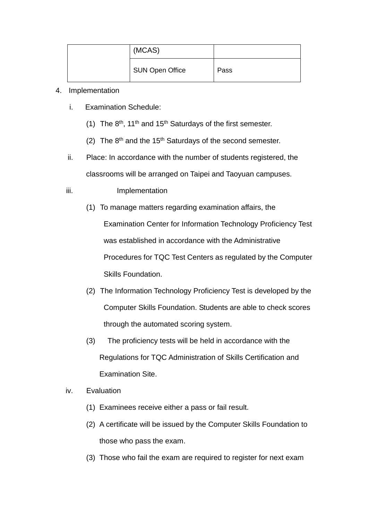| (MCAS)                 |      |
|------------------------|------|
| <b>SUN Open Office</b> | Pass |

## 4. Implementation

- i. Examination Schedule:
	- (1) The  $8<sup>th</sup>$ , 11<sup>th</sup> and 15<sup>th</sup> Saturdays of the first semester.
	- (2) The  $8<sup>th</sup>$  and the 15<sup>th</sup> Saturdays of the second semester.
- ii. Place: In accordance with the number of students registered, the classrooms will be arranged on Taipei and Taoyuan campuses.
- iii. Implementation
	- (1) To manage matters regarding examination affairs, the Examination Center for Information Technology Proficiency Test was established in accordance with the Administrative Procedures for TQC Test Centers as regulated by the Computer Skills Foundation.
	- (2) The Information Technology Proficiency Test is developed by the Computer Skills Foundation. Students are able to check scores through the automated scoring system.
	- (3) The proficiency tests will be held in accordance with the Regulations for TQC Administration of Skills Certification and Examination Site.
- iv. Evaluation
	- (1) Examinees receive either a pass or fail result.
	- (2) A certificate will be issued by the Computer Skills Foundation to those who pass the exam.
	- (3) Those who fail the exam are required to register for next exam